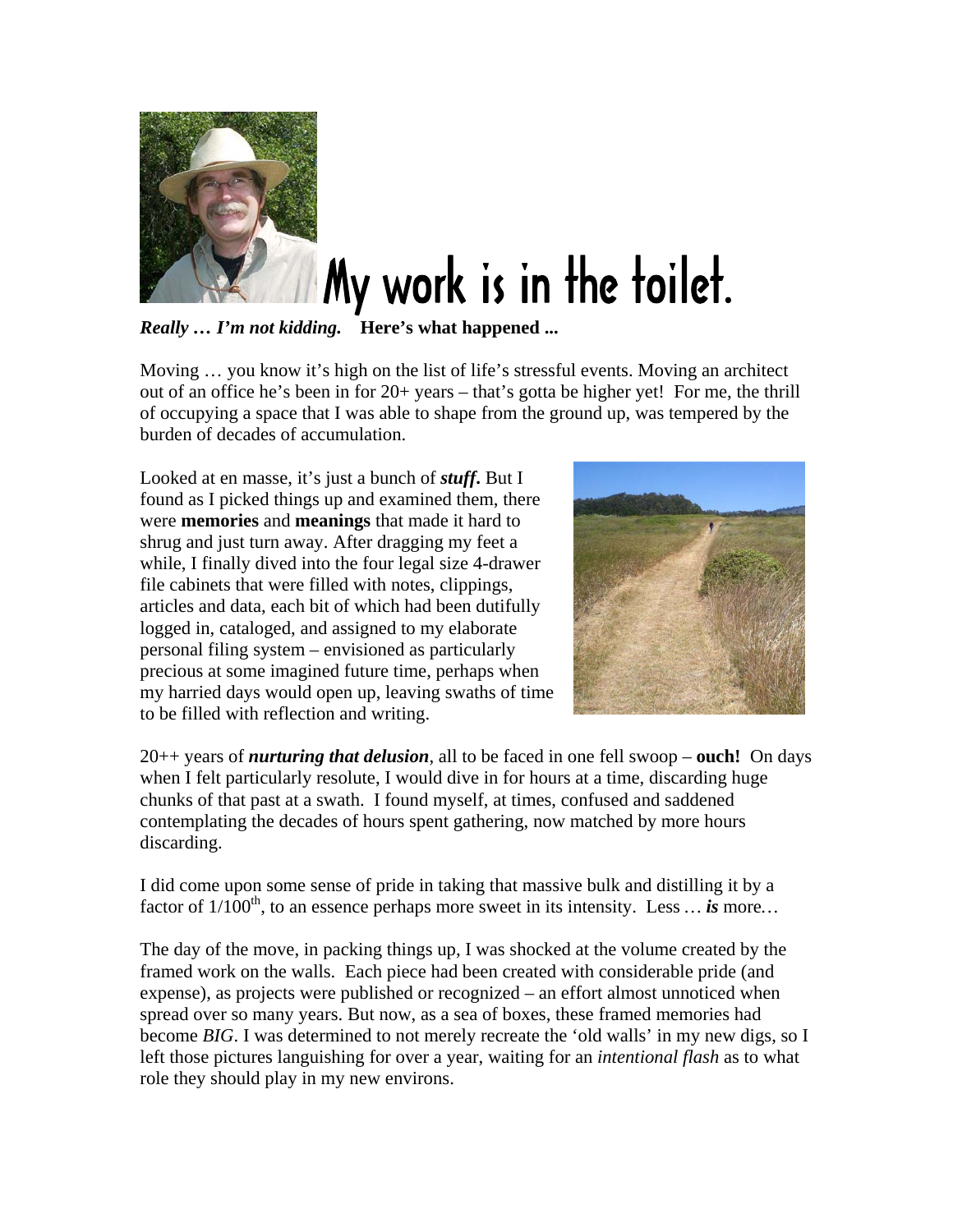

## My work is in the toilet.

*Really … I'm not kidding.* **Here's what happened ...** 

Moving … you know it's high on the list of life's stressful events. Moving an architect out of an office he's been in for 20+ years – that's gotta be higher yet! For me, the thrill of occupying a space that I was able to shape from the ground up, was tempered by the burden of decades of accumulation.

Looked at en masse, it's just a bunch of *stuff***.** But I found as I picked things up and examined them, there were **memories** and **meanings** that made it hard to shrug and just turn away. After dragging my feet a while, I finally dived into the four legal size 4-drawer file cabinets that were filled with notes, clippings, articles and data, each bit of which had been dutifully logged in, cataloged, and assigned to my elaborate personal filing system – envisioned as particularly precious at some imagined future time, perhaps when my harried days would open up, leaving swaths of time to be filled with reflection and writing.



20++ years of *nurturing that delusion*, all to be faced in one fell swoop – **ouch!** On days when I felt particularly resolute, I would dive in for hours at a time, discarding huge chunks of that past at a swath. I found myself, at times, confused and saddened contemplating the decades of hours spent gathering, now matched by more hours discarding.

I did come upon some sense of pride in taking that massive bulk and distilling it by a factor of  $1/100<sup>th</sup>$ , to an essence perhaps more sweet in its intensity. Less  $\dots$  *is* more...

The day of the move, in packing things up, I was shocked at the volume created by the framed work on the walls. Each piece had been created with considerable pride (and expense), as projects were published or recognized – an effort almost unnoticed when spread over so many years. But now, as a sea of boxes, these framed memories had become *BIG*. I was determined to not merely recreate the 'old walls' in my new digs, so I left those pictures languishing for over a year, waiting for an *intentional flash* as to what role they should play in my new environs.